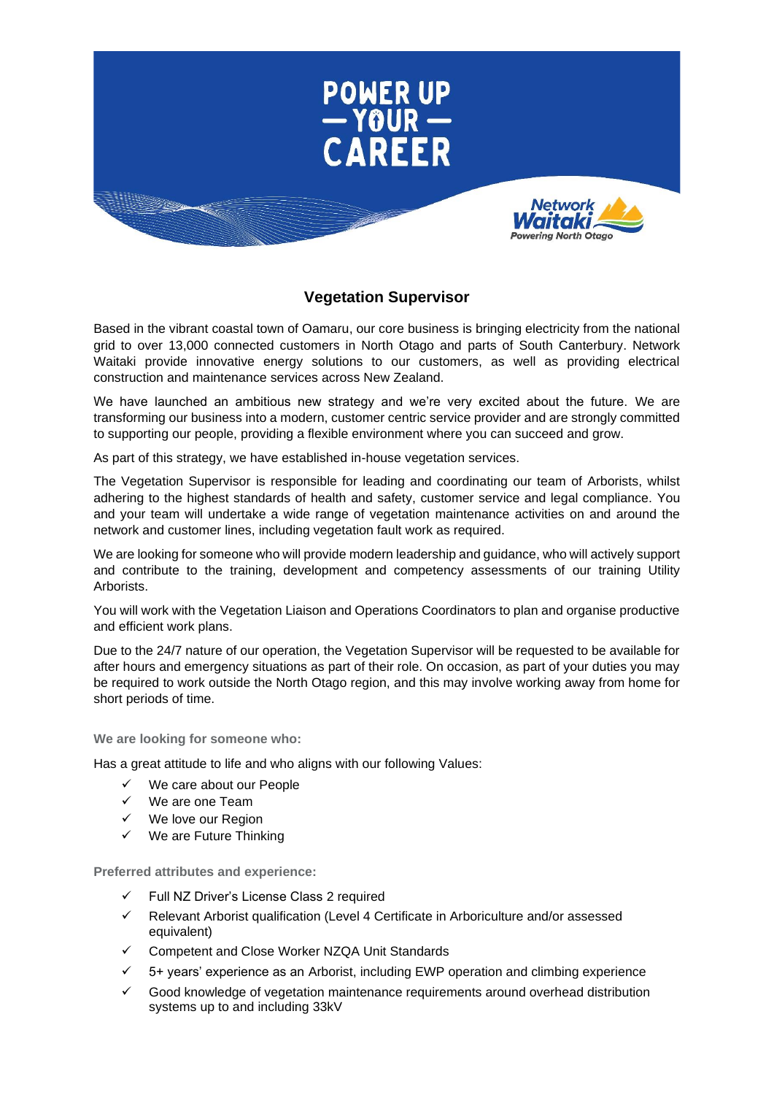

## **Vegetation Supervisor**

Based in the vibrant coastal town of Oamaru, our core business is bringing electricity from the national grid to over 13,000 connected customers in North Otago and parts of South Canterbury. Network Waitaki provide innovative energy solutions to our customers, as well as providing electrical construction and maintenance services across New Zealand.

We have launched an ambitious new strategy and we're very excited about the future. We are transforming our business into a modern, customer centric service provider and are strongly committed to supporting our people, providing a flexible environment where you can succeed and grow.

As part of this strategy, we have established in-house vegetation services.

The Vegetation Supervisor is responsible for leading and coordinating our team of Arborists, whilst adhering to the highest standards of health and safety, customer service and legal compliance. You and your team will undertake a wide range of vegetation maintenance activities on and around the network and customer lines, including vegetation fault work as required.

We are looking for someone who will provide modern leadership and guidance, who will actively support and contribute to the training, development and competency assessments of our training Utility Arborists.

You will work with the Vegetation Liaison and Operations Coordinators to plan and organise productive and efficient work plans.

Due to the 24/7 nature of our operation, the Vegetation Supervisor will be requested to be available for after hours and emergency situations as part of their role. On occasion, as part of your duties you may be required to work outside the North Otago region, and this may involve working away from home for short periods of time.

**We are looking for someone who:**

Has a great attitude to life and who aligns with our following Values:

- We care about our People
- ✓ We are one Team
- We love our Region
- We are Future Thinking

**Preferred attributes and experience:**

- Full NZ Driver's License Class 2 required
- Relevant Arborist qualification (Level 4 Certificate in Arboriculture and/or assessed equivalent)
- ✓ Competent and Close Worker NZQA Unit Standards
- 5+ years' experience as an Arborist, including EWP operation and climbing experience
- Good knowledge of vegetation maintenance requirements around overhead distribution systems up to and including 33kV